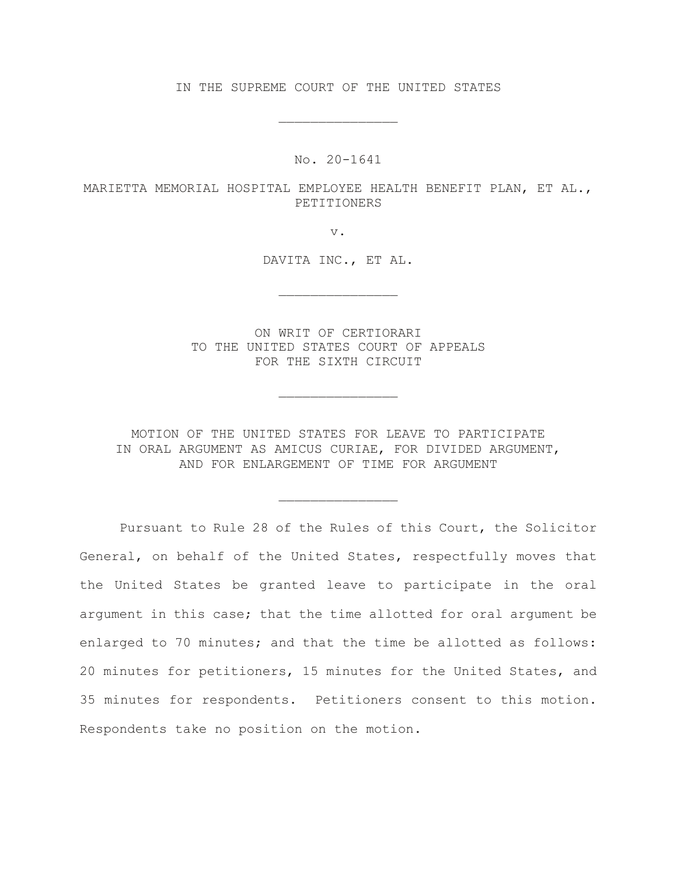IN THE SUPREME COURT OF THE UNITED STATES

\_\_\_\_\_\_\_\_\_\_\_\_\_\_\_

No. 20-1641

MARIETTA MEMORIAL HOSPITAL EMPLOYEE HEALTH BENEFIT PLAN, ET AL., PETITIONERS

v.

DAVITA INC., ET AL.

\_\_\_\_\_\_\_\_\_\_\_\_\_\_\_

ON WRIT OF CERTIORARI TO THE UNITED STATES COURT OF APPEALS FOR THE SIXTH CIRCUIT

\_\_\_\_\_\_\_\_\_\_\_\_\_\_\_

MOTION OF THE UNITED STATES FOR LEAVE TO PARTICIPATE IN ORAL ARGUMENT AS AMICUS CURIAE, FOR DIVIDED ARGUMENT, AND FOR ENLARGEMENT OF TIME FOR ARGUMENT

\_\_\_\_\_\_\_\_\_\_\_\_\_\_\_

Pursuant to Rule 28 of the Rules of this Court, the Solicitor General, on behalf of the United States, respectfully moves that the United States be granted leave to participate in the oral argument in this case; that the time allotted for oral argument be enlarged to 70 minutes; and that the time be allotted as follows: 20 minutes for petitioners, 15 minutes for the United States, and 35 minutes for respondents. Petitioners consent to this motion. Respondents take no position on the motion.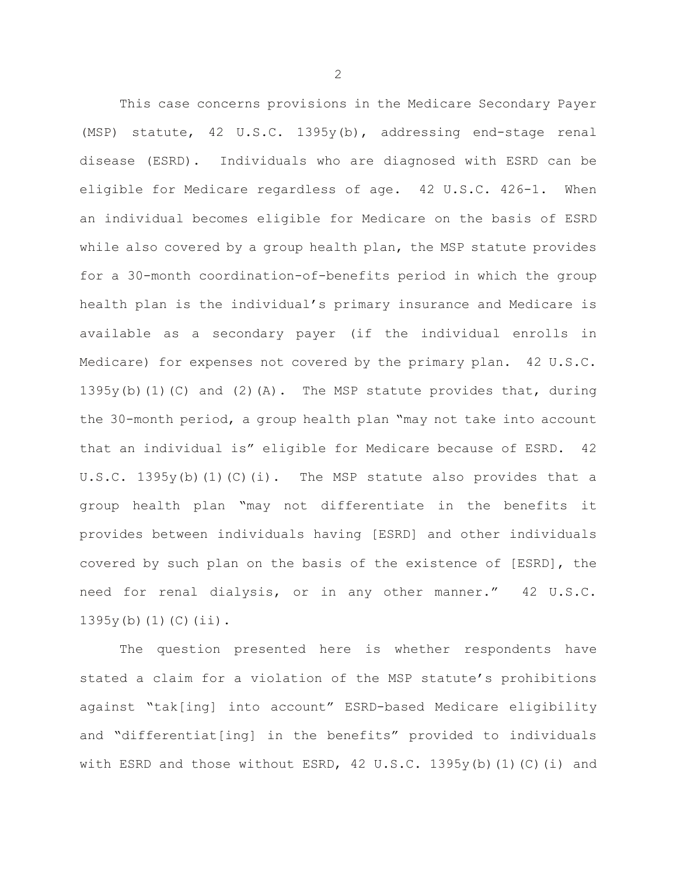This case concerns provisions in the Medicare Secondary Payer (MSP) statute, 42 U.S.C. 1395y(b), addressing end-stage renal disease (ESRD). Individuals who are diagnosed with ESRD can be eligible for Medicare regardless of age. 42 U.S.C. 426-1. When an individual becomes eligible for Medicare on the basis of ESRD while also covered by a group health plan, the MSP statute provides for a 30-month coordination-of-benefits period in which the group health plan is the individual's primary insurance and Medicare is available as a secondary payer (if the individual enrolls in Medicare) for expenses not covered by the primary plan. 42 U.S.C. 1395y(b)(1)(C) and (2)(A). The MSP statute provides that, during the 30-month period, a group health plan "may not take into account that an individual is" eligible for Medicare because of ESRD. 42 U.S.C. 1395y(b)(1)(C)(i). The MSP statute also provides that a group health plan "may not differentiate in the benefits it provides between individuals having [ESRD] and other individuals covered by such plan on the basis of the existence of [ESRD], the need for renal dialysis, or in any other manner." 42 U.S.C.  $1395y(b)(1)(C)(ii)$ .

The question presented here is whether respondents have stated a claim for a violation of the MSP statute's prohibitions against "tak[ing] into account" ESRD-based Medicare eligibility and "differentiat[ing] in the benefits" provided to individuals with ESRD and those without ESRD, 42 U.S.C. 1395y(b)(1)(C)(i) and

2